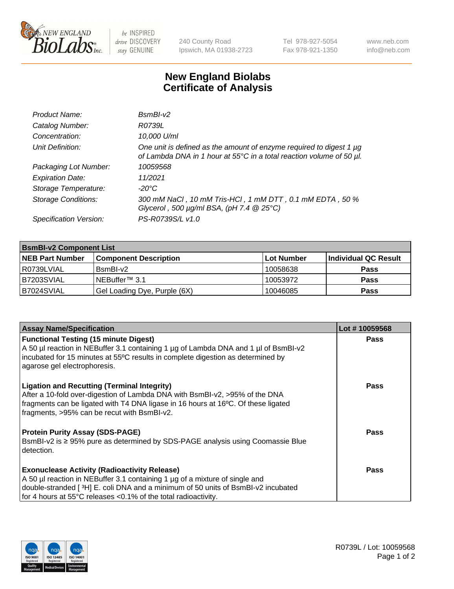

 $be$  INSPIRED drive DISCOVERY stay GENUINE

240 County Road Ipswich, MA 01938-2723 Tel 978-927-5054 Fax 978-921-1350 www.neb.com info@neb.com

## **New England Biolabs Certificate of Analysis**

| Product Name:              | $BsmBI-v2$                                                                                                                                  |
|----------------------------|---------------------------------------------------------------------------------------------------------------------------------------------|
| Catalog Number:            | R0739L                                                                                                                                      |
| Concentration:             | 10,000 U/ml                                                                                                                                 |
| Unit Definition:           | One unit is defined as the amount of enzyme required to digest 1 µg<br>of Lambda DNA in 1 hour at 55°C in a total reaction volume of 50 µl. |
| Packaging Lot Number:      | 10059568                                                                                                                                    |
| <b>Expiration Date:</b>    | 11/2021                                                                                                                                     |
| Storage Temperature:       | $-20^{\circ}$ C                                                                                                                             |
| <b>Storage Conditions:</b> | 300 mM NaCl, 10 mM Tris-HCl, 1 mM DTT, 0.1 mM EDTA, 50 %<br>Glycerol, 500 $\mu$ g/ml BSA, (pH 7.4 $@25°C$ )                                 |
| Specification Version:     | PS-R0739S/L v1.0                                                                                                                            |

| <b>BsmBI-v2 Component List</b> |                              |            |                      |  |
|--------------------------------|------------------------------|------------|----------------------|--|
| <b>NEB Part Number</b>         | <b>Component Description</b> | Lot Number | Individual QC Result |  |
| I R0739LVIAL                   | BsmBI-v2                     | 10058638   | <b>Pass</b>          |  |
| B7203SVIAL                     | INEBuffer™ 3.1               | 10053972   | <b>Pass</b>          |  |
| B7024SVIAL                     | Gel Loading Dye, Purple (6X) | 10046085   | <b>Pass</b>          |  |

| <b>Assay Name/Specification</b>                                                                                                                                                                                                                                       | Lot #10059568 |
|-----------------------------------------------------------------------------------------------------------------------------------------------------------------------------------------------------------------------------------------------------------------------|---------------|
| <b>Functional Testing (15 minute Digest)</b>                                                                                                                                                                                                                          | <b>Pass</b>   |
| A 50 µl reaction in NEBuffer 3.1 containing 1 µg of Lambda DNA and 1 µl of BsmBI-v2<br>incubated for 15 minutes at 55°C results in complete digestion as determined by<br>agarose gel electrophoresis.                                                                |               |
| <b>Ligation and Recutting (Terminal Integrity)</b><br>After a 10-fold over-digestion of Lambda DNA with BsmBI-v2, >95% of the DNA<br>fragments can be ligated with T4 DNA ligase in 16 hours at 16°C. Of these ligated<br>fragments, >95% can be recut with BsmBI-v2. | Pass          |
| <b>Protein Purity Assay (SDS-PAGE)</b>                                                                                                                                                                                                                                | <b>Pass</b>   |
| BsmBI-v2 is ≥ 95% pure as determined by SDS-PAGE analysis using Coomassie Blue<br>detection.                                                                                                                                                                          |               |
| <b>Exonuclease Activity (Radioactivity Release)</b>                                                                                                                                                                                                                   | <b>Pass</b>   |
| A 50 µl reaction in NEBuffer 3.1 containing 1 µg of a mixture of single and                                                                                                                                                                                           |               |
| double-stranded [3H] E. coli DNA and a minimum of 50 units of BsmBI-v2 incubated                                                                                                                                                                                      |               |
| for 4 hours at 55°C releases <0.1% of the total radioactivity.                                                                                                                                                                                                        |               |